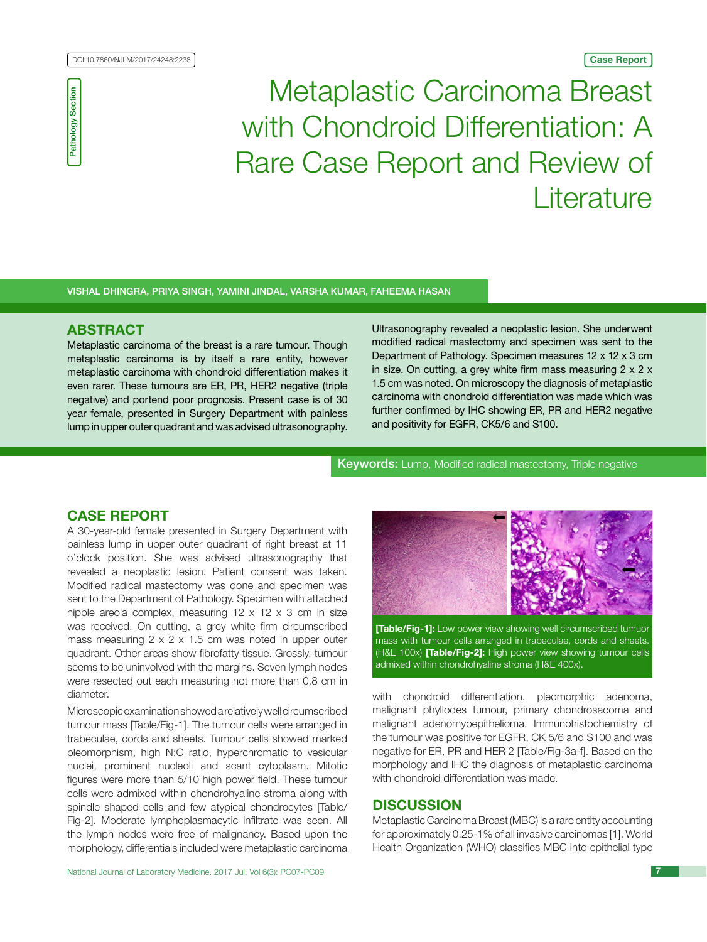Pathology Section

**Pathology Section** 

# Metaplastic Carcinoma Breast with Chondroid Differentiation: A Rare Case Report and Review of **Literature**

## Vishal Dhingra, Priya Singh, Yamini Jindal, Varsha Kumar, Faheema Hasan

# **ABSTRACT**

Metaplastic carcinoma of the breast is a rare tumour. Though metaplastic carcinoma is by itself a rare entity, however metaplastic carcinoma with chondroid differentiation makes it even rarer. These tumours are ER, PR, HER2 negative (triple negative) and portend poor prognosis. Present case is of 30 year female, presented in Surgery Department with painless lump in upper outer quadrant and was advised ultrasonography. Ultrasonography revealed a neoplastic lesion. She underwent modified radical mastectomy and specimen was sent to the Department of Pathology. Specimen measures 12 x 12 x 3 cm in size. On cutting, a grey white firm mass measuring  $2 \times 2 \times 3$ 1.5 cm was noted. On microscopy the diagnosis of metaplastic carcinoma with chondroid differentiation was made which was further confirmed by IHC showing ER, PR and HER2 negative and positivity for EGFR, CK5/6 and S100.

Keywords: Lump, Modified radical mastectomy, Triple negative

# **Case report**

A 30-year-old female presented in Surgery Department with painless lump in upper outer quadrant of right breast at 11 o'clock position. She was advised ultrasonography that revealed a neoplastic lesion. Patient consent was taken. Modified radical mastectomy was done and specimen was sent to the Department of Pathology. Specimen with attached nipple areola complex, measuring 12 x 12 x 3 cm in size was received. On cutting, a grey white firm circumscribed mass measuring 2 x 2 x 1.5 cm was noted in upper outer quadrant. Other areas show fibrofatty tissue. Grossly, tumour seems to be uninvolved with the margins. Seven lymph nodes were resected out each measuring not more than 0.8 cm in diameter.

Microscopic examination showed a relatively well circumscribed tumour mass [Table/Fig-1]. The tumour cells were arranged in trabeculae, cords and sheets. Tumour cells showed marked pleomorphism, high N:C ratio, hyperchromatic to vesicular nuclei, prominent nucleoli and scant cytoplasm. Mitotic figures were more than 5/10 high power field. These tumour cells were admixed within chondrohyaline stroma along with spindle shaped cells and few atypical chondrocytes [Table/ Fig-2]. Moderate lymphoplasmacytic infiltrate was seen. All the lymph nodes were free of malignancy. Based upon the morphology, differentials included were metaplastic carcinoma



**[Table/Fig-1]:** Low power view showing well circumscribed tumuor mass with tumour cells arranged in trabeculae, cords and sheets. (H&E 100x) **[Table/Fig-2]:** High power view showing tumour cells admixed within chondrohyaline stroma (H&E 400x).

with chondroid differentiation, pleomorphic adenoma, malignant phyllodes tumour, primary chondrosacoma and malignant adenomyoepithelioma. Immunohistochemistry of the tumour was positive for EGFR, CK 5/6 and S100 and was negative for ER, PR and HER 2 [Table/Fig-3a-f]. Based on the morphology and IHC the diagnosis of metaplastic carcinoma with chondroid differentiation was made.

# **DISCUSSION**

Metaplastic Carcinoma Breast (MBC) is a rare entity accounting for approximately 0.25-1% of all invasive carcinomas [1]. World Health Organization (WHO) classifies MBC into epithelial type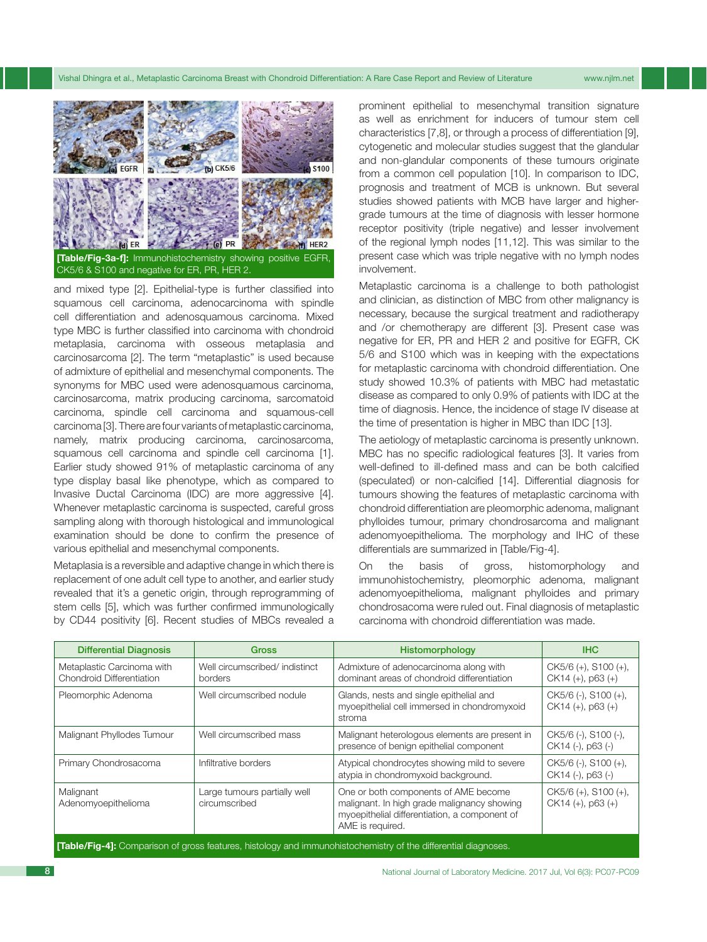Vishal Dhingra et al., Metaplastic Carcinoma Breast with Chondroid Differentiation: A Rare Case Report and Review of Literature www.njlm.net



**[Table/Fig-3a-f]:** Immunohistochemistry showing positive EGFR, CK5/6 & S100 and negative for ER, PR, HER 2.

and mixed type [2]. Epithelial-type is further classified into squamous cell carcinoma, adenocarcinoma with spindle cell differentiation and adenosquamous carcinoma. Mixed type MBC is further classified into carcinoma with chondroid metaplasia, carcinoma with osseous metaplasia and carcinosarcoma [2]. The term "metaplastic" is used because of admixture of epithelial and mesenchymal components. The synonyms for MBC used were adenosquamous carcinoma, carcinosarcoma, matrix producing carcinoma, sarcomatoid carcinoma, spindle cell carcinoma and squamous-cell carcinoma [3]. There are four variants of metaplastic carcinoma, namely, matrix producing carcinoma, carcinosarcoma, squamous cell carcinoma and spindle cell carcinoma [1]. Earlier study showed 91% of metaplastic carcinoma of any type display basal like phenotype, which as compared to Invasive Ductal Carcinoma (IDC) are more aggressive [4]. Whenever metaplastic carcinoma is suspected, careful gross sampling along with thorough histological and immunological examination should be done to confirm the presence of various epithelial and mesenchymal components.

Metaplasia is a reversible and adaptive change in which there is replacement of one adult cell type to another, and earlier study revealed that it's a genetic origin, through reprogramming of stem cells [5], which was further confirmed immunologically by CD44 positivity [6]. Recent studies of MBCs revealed a

prominent epithelial to mesenchymal transition signature as well as enrichment for inducers of tumour stem cell characteristics [7,8], or through a process of differentiation [9], cytogenetic and molecular studies suggest that the glandular and non-glandular components of these tumours originate from a common cell population [10]. In comparison to IDC, prognosis and treatment of MCB is unknown. But several studies showed patients with MCB have larger and highergrade tumours at the time of diagnosis with lesser hormone receptor positivity (triple negative) and lesser involvement of the regional lymph nodes [11,12]. This was similar to the present case which was triple negative with no lymph nodes involvement.

Metaplastic carcinoma is a challenge to both pathologist and clinician, as distinction of MBC from other malignancy is necessary, because the surgical treatment and radiotherapy and /or chemotherapy are different [3]. Present case was negative for ER, PR and HER 2 and positive for EGFR, CK 5/6 and S100 which was in keeping with the expectations for metaplastic carcinoma with chondroid differentiation. One study showed 10.3% of patients with MBC had metastatic disease as compared to only 0.9% of patients with IDC at the time of diagnosis. Hence, the incidence of stage IV disease at the time of presentation is higher in MBC than IDC [13].

The aetiology of metaplastic carcinoma is presently unknown. MBC has no specific radiological features [3]. It varies from well-defined to ill-defined mass and can be both calcified (speculated) or non-calcified [14]. Differential diagnosis for tumours showing the features of metaplastic carcinoma with chondroid differentiation are pleomorphic adenoma, malignant phylloides tumour, primary chondrosarcoma and malignant adenomyoepithelioma. The morphology and IHC of these differentials are summarized in [Table/Fig-4].

On the basis of gross, histomorphology and immunohistochemistry, pleomorphic adenoma, malignant adenomyoepithelioma, malignant phylloides and primary chondrosacoma were ruled out. Final diagnosis of metaplastic carcinoma with chondroid differentiation was made.

| <b>Differential Diagnosis</b>                                                                                         | Gross                                         | Histomorphology                                                                                                                                          | <b>IHC</b>                                        |
|-----------------------------------------------------------------------------------------------------------------------|-----------------------------------------------|----------------------------------------------------------------------------------------------------------------------------------------------------------|---------------------------------------------------|
| Metaplastic Carcinoma with<br>Chondroid Differentiation                                                               | Well circumscribed/ indistinct<br>borders     | Admixture of adenocarcinoma along with<br>dominant areas of chondroid differentiation                                                                    | $CK5/6 (+)$ , S100 $(+)$ ,<br>$CK14 (+), p63 (+)$ |
| Pleomorphic Adenoma                                                                                                   | Well circumscribed nodule                     | Glands, nests and single epithelial and<br>myoepithelial cell immersed in chondromyxoid<br>stroma                                                        | CK5/6 (-), S100 (+),<br>$CK14 (+), p63 (+)$       |
| Malignant Phyllodes Tumour                                                                                            | Well circumscribed mass                       | Malignant heterologous elements are present in<br>presence of benign epithelial component                                                                | CK5/6 (-), S100 (-),<br>CK14 (-), p63 (-)         |
| Primary Chondrosacoma                                                                                                 | Infiltrative borders                          | Atypical chondrocytes showing mild to severe<br>atypia in chondromyxoid background.                                                                      | CK5/6 (-), S100 (+),<br>CK14 (-), p63 (-)         |
| Malignant<br>Adenomyoepithelioma                                                                                      | Large tumours partially well<br>circumscribed | One or both components of AME become<br>malignant. In high grade malignancy showing<br>myoepithelial differentiation, a component of<br>AME is required. | $CK5/6 (+)$ , S100 $(+)$ ,<br>$CK14 (+), p63 (+)$ |
| <b>[Table/Fig-4]:</b> Comparison of gross features, histology and immunohistochemistry of the differential diagnoses. |                                               |                                                                                                                                                          |                                                   |